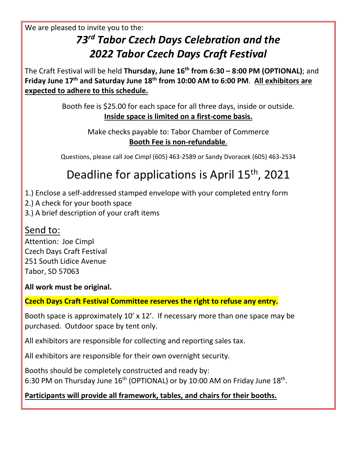We are pleased to invite you to the:

## *73 rd Tabor Czech Days Celebration and the 2022 Tabor Czech Days Craft Festival*

The Craft Festival will be held **Thursday, June 16 th from 6:30 – 8:00 PM (OPTIONAL)**; and **Friday June 17 th and Saturday June 18th from 10:00 AM to 6:00 PM**. **All exhibitors are expected to adhere to this schedule.**

> Booth fee is \$25.00 for each space for all three days, inside or outside. **Inside space is limited on a first-come basis.**

> > Make checks payable to: Tabor Chamber of Commerce **Booth Fee is non-refundable**.

Questions, please call Joe Cimpl (605) 463-2589 or Sandy Dvoracek (605) 463-2534

## Deadline for applications is April 15<sup>th</sup>, 2021

- 1.) Enclose a self-addressed stamped envelope with your completed entry form
- 2.) A check for your booth space
- 3.) A brief description of your craft items

#### Send to:

Attention: Joe Cimpl Czech Days Craft Festival 251 South Lidice Avenue Tabor, SD 57063

**All work must be original.**

#### **Czech Days Craft Festival Committee reserves the right to refuse any entry.**

Booth space is approximately 10' x 12'. If necessary more than one space may be purchased. Outdoor space by tent only.

All exhibitors are responsible for collecting and reporting sales tax.

All exhibitors are responsible for their own overnight security.

Booths should be completely constructed and ready by: 6:30 PM on Thursday June  $16<sup>th</sup>$  (OPTIONAL) or by 10:00 AM on Friday June  $18<sup>th</sup>$ .

#### **Participants will provide all framework, tables, and chairs for their booths.**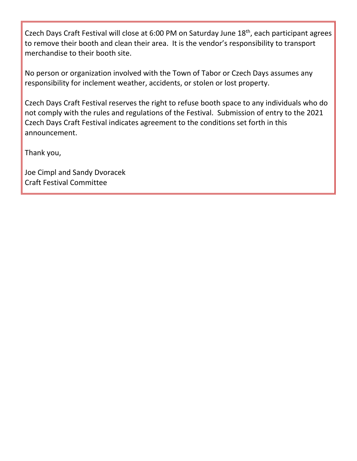Czech Days Craft Festival will close at 6:00 PM on Saturday June 18<sup>th</sup>, each participant agrees to remove their booth and clean their area. It is the vendor's responsibility to transport merchandise to their booth site.

No person or organization involved with the Town of Tabor or Czech Days assumes any responsibility for inclement weather, accidents, or stolen or lost property.

Czech Days Craft Festival reserves the right to refuse booth space to any individuals who do not comply with the rules and regulations of the Festival. Submission of entry to the 2021 Czech Days Craft Festival indicates agreement to the conditions set forth in this announcement.

Thank you,

Joe Cimpl and Sandy Dvoracek Craft Festival Committee